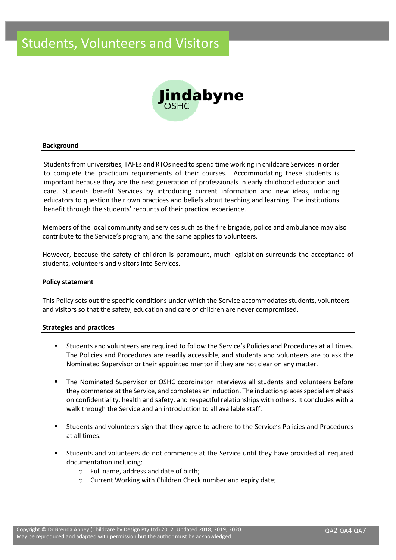## Students, Volunteers and Visitors



#### **Background**

Students from universities, TAFEs and RTOs need to spend time working in childcare Services in order to complete the practicum requirements of their courses. Accommodating these students is important because they are the next generation of professionals in early childhood education and care. Students benefit Services by introducing current information and new ideas, inducing educators to question their own practices and beliefs about teaching and learning. The institutions benefit through the students' recounts of their practical experience.

Members of the local community and services such as the fire brigade, police and ambulance may also contribute to the Service's program, and the same applies to volunteers.

However, because the safety of children is paramount, much legislation surrounds the acceptance of students, volunteers and visitors into Services.

#### **Policy statement**

This Policy sets out the specific conditions under which the Service accommodates students, volunteers and visitors so that the safety, education and care of children are never compromised.

#### **Strategies and practices**

- Students and volunteers are required to follow the Service's Policies and Procedures at all times. The Policies and Procedures are readily accessible, and students and volunteers are to ask the Nominated Supervisor or their appointed mentor if they are not clear on any matter.
- The Nominated Supervisor or OSHC coordinator interviews all students and volunteers before they commence at the Service, and completes an induction. The induction places special emphasis on confidentiality, health and safety, and respectful relationships with others. It concludes with a walk through the Service and an introduction to all available staff.
- Students and volunteers sign that they agree to adhere to the Service's Policies and Procedures at all times.
- Students and volunteers do not commence at the Service until they have provided all required documentation including:
	- o Full name, address and date of birth;
	- o Current Working with Children Check number and expiry date;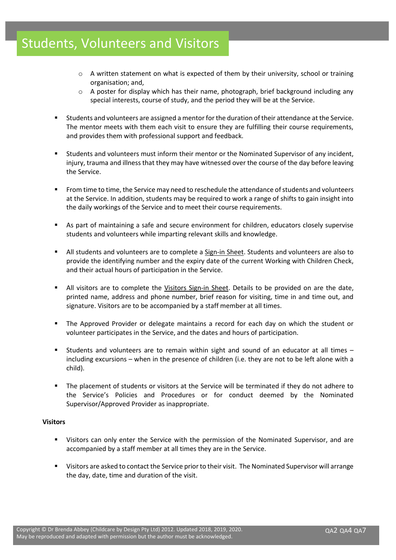## Students, Volunteers and Visitors

- $\circ$  A written statement on what is expected of them by their university, school or training organisation; and,
- $\circ$  A poster for display which has their name, photograph, brief background including any special interests, course of study, and the period they will be at the Service.
- Students and volunteers are assigned a mentor for the duration of their attendance at the Service. The mentor meets with them each visit to ensure they are fulfilling their course requirements, and provides them with professional support and feedback.
- Students and volunteers must inform their mentor or the Nominated Supervisor of any incident, injury, trauma and illness that they may have witnessed over the course of the day before leaving the Service.
- From time to time, the Service may need to reschedule the attendance of students and volunteers at the Service. In addition, students may be required to work a range of shifts to gain insight into the daily workings of the Service and to meet their course requirements.
- As part of maintaining a safe and secure environment for children, educators closely supervise students and volunteers while imparting relevant skills and knowledge.
- All students and volunteers are to complete a Sign-in Sheet. Students and volunteers are also to provide the identifying number and the expiry date of the current Working with Children Check, and their actual hours of participation in the Service.
- All visitors are to complete the Visitors Sign-in Sheet. Details to be provided on are the date, printed name, address and phone number, brief reason for visiting, time in and time out, and signature. Visitors are to be accompanied by a staff member at all times.
- The Approved Provider or delegate maintains a record for each day on which the student or volunteer participates in the Service, and the dates and hours of participation.
- Students and volunteers are to remain within sight and sound of an educator at all times  $$ including excursions – when in the presence of children (i.e. they are not to be left alone with a child).
- The placement of students or visitors at the Service will be terminated if they do not adhere to the Service's Policies and Procedures or for conduct deemed by the Nominated Supervisor/Approved Provider as inappropriate.

## **Visitors**

- Visitors can only enter the Service with the permission of the Nominated Supervisor, and are accompanied by a staff member at all times they are in the Service.
- Visitors are asked to contact the Service prior to their visit. The Nominated Supervisor will arrange the day, date, time and duration of the visit.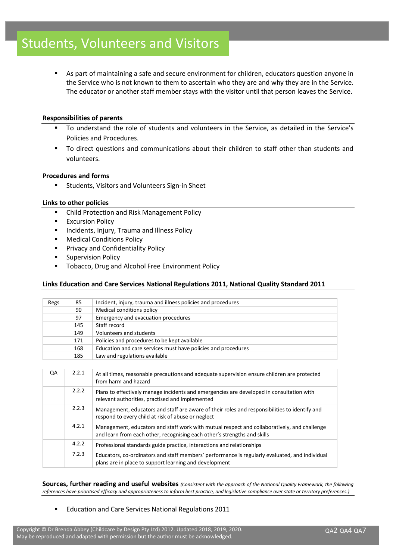As part of maintaining a safe and secure environment for children, educators question anyone in the Service who is not known to them to ascertain who they are and why they are in the Service. The educator or another staff member stays with the visitor until that person leaves the Service.

## **Responsibilities of parents**

- To understand the role of students and volunteers in the Service, as detailed in the Service's Policies and Procedures.
- To direct questions and communications about their children to staff other than students and volunteers.

#### **Procedures and forms**

Students, Visitors and Volunteers Sign-in Sheet

## **Links to other policies**

- Child Protection and Risk Management Policy
- **■** Excursion Policy
- Incidents, Injury, Trauma and Illness Policy
- **Medical Conditions Policy**
- Privacy and Confidentiality Policy
- **Supervision Policy**
- Tobacco, Drug and Alcohol Free Environment Policy

## **Links Education and Care Services National Regulations 2011, National Quality Standard 2011**

| Regs | 85  | Incident, injury, trauma and illness policies and procedures  |  |  |
|------|-----|---------------------------------------------------------------|--|--|
|      | 90  | Medical conditions policy                                     |  |  |
|      | 97  | Emergency and evacuation procedures                           |  |  |
|      | 145 | Staff record                                                  |  |  |
|      | 149 | Volunteers and students                                       |  |  |
|      | 171 | Policies and procedures to be kept available                  |  |  |
|      | 168 | Education and care services must have policies and procedures |  |  |
|      | 185 | Law and regulations available                                 |  |  |

| QA | 2.2.1 | At all times, reasonable precautions and adequate supervision ensure children are protected<br>from harm and hazard                                                     |
|----|-------|-------------------------------------------------------------------------------------------------------------------------------------------------------------------------|
|    | 2.2.2 | Plans to effectively manage incidents and emergencies are developed in consultation with<br>relevant authorities, practised and implemented                             |
|    | 2.2.3 | Management, educators and staff are aware of their roles and responsibilities to identify and<br>respond to every child at risk of abuse or neglect                     |
|    | 4.2.1 | Management, educators and staff work with mutual respect and collaboratively, and challenge<br>and learn from each other, recognising each other's strengths and skills |
|    | 4.2.2 | Professional standards guide practice, interactions and relationships                                                                                                   |
|    | 7.2.3 | Educators, co-ordinators and staff members' performance is regularly evaluated, and individual<br>plans are in place to support learning and development                |

**Sources, further reading and useful websites** *(Consistent with the approach of the National Quality Framework, the following references have prioritised efficacy and appropriateness to inform best practice, and legislative compliance over state or territory preferences.)*

■ Education and Care Services National Regulations 2011

Copyright © Dr Brenda Abbey (Childcare by Design Pty Ltd) 2012. Updated 2018, 2019, 2020. May be reproduced and adapted with permission but the author must be acknowledged.